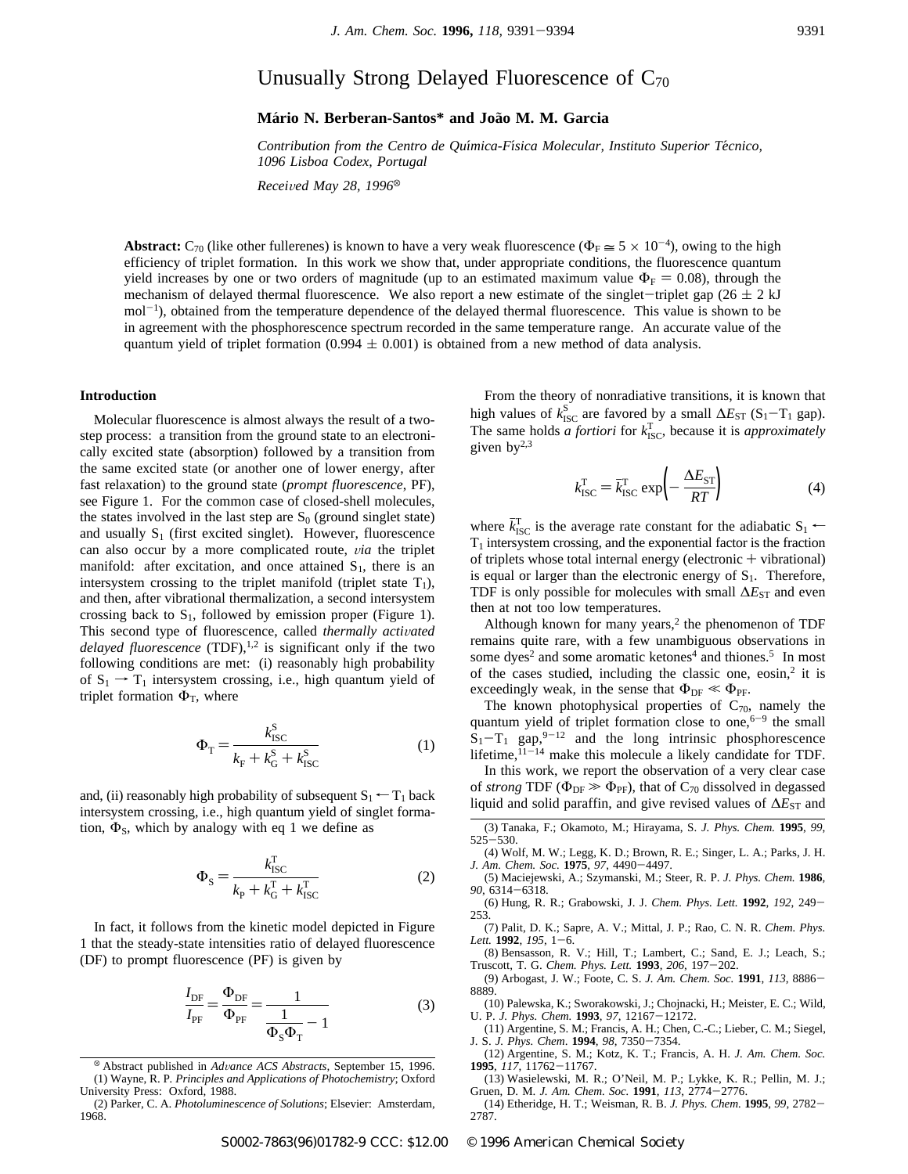# Unusually Strong Delayed Fluorescence of  $C_{70}$

## **Ma**´**rio N. Berberan-Santos\* and Joa**˜**o M. M. Garcia**

*Contribution from the Centro de Quı*´*mica-Fı*´*sica Molecular, Instituto Superior Te*´*cnico, 1096 Lisboa Codex, Portugal*

*Received May 28, 1996*<sup>®</sup>

**Abstract:**  $C_{70}$  (like other fullerenes) is known to have a very weak fluorescence ( $\Phi_F \approx 5 \times 10^{-4}$ ), owing to the high efficiency of triplet formation. In this work we show that, under appropriate conditions, the fluorescence quantum yield increases by one or two orders of magnitude (up to an estimated maximum value  $\Phi_F = 0.08$ ), through the mechanism of delayed thermal fluorescence. We also report a new estimate of the singlet-triplet gap ( $26 \pm 2$  kJ mol<sup>-1</sup>), obtained from the temperature dependence of the delayed thermal fluorescence. This value is shown to be in agreement with the phosphorescence spectrum recorded in the same temperature range. An accurate value of the quantum yield of triplet formation (0.994  $\pm$  0.001) is obtained from a new method of data analysis.

#### **Introduction**

Molecular fluorescence is almost always the result of a twostep process: a transition from the ground state to an electronically excited state (absorption) followed by a transition from the same excited state (or another one of lower energy, after fast relaxation) to the ground state (*prompt fluorescence*, PF), see Figure 1. For the common case of closed-shell molecules, the states involved in the last step are  $S_0$  (ground singlet state) and usually  $S_1$  (first excited singlet). However, fluorescence can also occur by a more complicated route, *via* the triplet manifold: after excitation, and once attained  $S_1$ , there is an intersystem crossing to the triplet manifold (triplet state  $T_1$ ), and then, after vibrational thermalization, a second intersystem crossing back to  $S_1$ , followed by emission proper (Figure 1). This second type of fluorescence, called *thermally activated delayed fluorescence* (TDF),<sup>1,2</sup> is significant only if the two following conditions are met: (i) reasonably high probability of  $S_1 \rightarrow T_1$  intersystem crossing, i.e., high quantum yield of triplet formation  $\Phi_T$ , where

$$
\Phi_{\rm T} = \frac{k_{\rm ISC}^{\rm S}}{k_{\rm F} + k_{\rm G}^{\rm S} + k_{\rm ISC}^{\rm S}} \tag{1}
$$

and, (ii) reasonably high probability of subsequent  $S_1 \leftarrow T_1$  back intersystem crossing, i.e., high quantum yield of singlet formation,  $\Phi$ <sub>S</sub>, which by analogy with eq 1 we define as

$$
\Phi_{\rm S} = \frac{k_{\rm ISC}^{\rm T}}{k_{\rm P} + k_{\rm G}^{\rm T} + k_{\rm ISC}^{\rm T}}\tag{2}
$$

In fact, it follows from the kinetic model depicted in Figure 1 that the steady-state intensities ratio of delayed fluorescence (DF) to prompt fluorescence (PF) is given by

$$
\frac{I_{\rm DF}}{I_{\rm PF}} = \frac{\Phi_{\rm DF}}{\Phi_{\rm PF}} = \frac{1}{\frac{1}{\Phi_{\rm S}\Phi_{\rm T}} - 1}
$$
(3)

<sup>X</sup> Abstract published in *Ad*V*ance ACS Abstracts,* September 15, 1996. (1) Wayne, R. P*. Principles and Applications of Photochemistry*; Oxford University Press: Oxford, 1988.

From the theory of nonradiative transitions, it is known that high values of  $k_{\text{ISC}}^{\text{S}}$  are favored by a small  $\Delta E_{\text{ST}}$  (S<sub>1</sub>-T<sub>1</sub> gap). The same holds *a fortiori* for  $k_{\text{ISC}}^{\text{T}}$ , because it is *approximately* given  $by^{2,3}$ 

$$
k_{\rm{ISC}}^{\rm{T}} = \bar{k}_{\rm{ISC}}^{\rm{T}} \exp\left(-\frac{\Delta E_{\rm{ST}}}{RT}\right)
$$
 (4)

where  $\bar{k}_{\text{ISC}}^{\text{T}}$  is the average rate constant for the adiabatic S<sub>1</sub>  $\leftarrow$  $T_1$  intersystem crossing, and the exponential factor is the fraction of triplets whose total internal energy (electronic  $+$  vibrational) is equal or larger than the electronic energy of  $S<sub>1</sub>$ . Therefore, TDF is only possible for molecules with small  $\Delta E_{ST}$  and even then at not too low temperatures.

Although known for many years, $2$  the phenomenon of TDF remains quite rare, with a few unambiguous observations in some dyes<sup>2</sup> and some aromatic ketones<sup>4</sup> and thiones.<sup>5</sup> In most of the cases studied, including the classic one,  $e^{i\pi}$  it is exceedingly weak, in the sense that  $\Phi_{DF} \ll \Phi_{PF}$ .

The known photophysical properties of  $C_{70}$ , namely the quantum yield of triplet formation close to one, $6-9$  the small  $S_1-T_1$  gap, <sup>9-12</sup> and the long intrinsic phosphorescence lifetime,  $11-14$  make this molecule a likely candidate for TDF.

In this work, we report the observation of a very clear case of *strong* TDF ( $\Phi_{DF} \gg \Phi_{PF}$ ), that of C<sub>70</sub> dissolved in degassed liquid and solid paraffin, and give revised values of  $\Delta E_{ST}$  and

<sup>(2)</sup> Parker, C. A. *Photoluminescence of Solutions*; Elsevier: Amsterdam, 1968.

<sup>(3)</sup> Tanaka, F.; Okamoto, M.; Hirayama, S. *J. Phys. Chem.* **1995**, *99*, 525-530.

<sup>(4)</sup> Wolf, M. W.; Legg, K. D.; Brown, R. E.; Singer, L. A.; Parks, J. H. *J. Am. Chem. Soc.* **1975**, *97*, 4490-4497.

<sup>(5)</sup> Maciejewski, A.; Szymanski, M.; Steer, R. P. *J. Phys. Chem.* **1986**, *90*, 6314-6318.

<sup>(6)</sup> Hung, R. R.; Grabowski, J. J. *Chem. Phys. Lett.* **1992**, *192*, 249- 253.

<sup>(7)</sup> Palit, D. K.; Sapre, A. V.; Mittal, J. P.; Rao, C. N. R. *Chem. Phys. Lett.* **1992**, *195*, 1-6.

<sup>(8)</sup> Bensasson, R. V.; Hill, T.; Lambert, C.; Sand, E. J.; Leach, S.; Truscott, T. G. *Chem. Phys. Lett.* **1993**, *206*, 197-202.

<sup>(9)</sup> Arbogast, J. W.; Foote, C. S. *J. Am. Chem. Soc.* **1991**, *113*, 8886- 8889.

<sup>(10)</sup> Palewska, K.; Sworakowski, J.; Chojnacki, H.; Meister, E. C.; Wild, U. P. *J. Phys. Chem.* **1993**, *97*, 12167-12172.

<sup>(11)</sup> Argentine, S. M.; Francis, A. H.; Chen, C.-C.; Lieber, C. M.; Siegel, J. S. *J. Phys. Chem*. **1994**, *98*, 7350-7354.

<sup>(12)</sup> Argentine, S. M.; Kotz, K. T.; Francis, A. H. *J. Am. Chem. Soc.* **1995**, *117*, 11762-11767.

<sup>(13)</sup> Wasielewski, M. R.; O'Neil, M. P.; Lykke, K. R.; Pellin, M. J.; Gruen, D. M. *J. Am. Chem. Soc.* **1991**, *113*, 2774-2776.

<sup>(14)</sup> Etheridge, H. T.; Weisman, R. B. *J. Phys. Chem.* **1995**, *99*, 2782- 2787.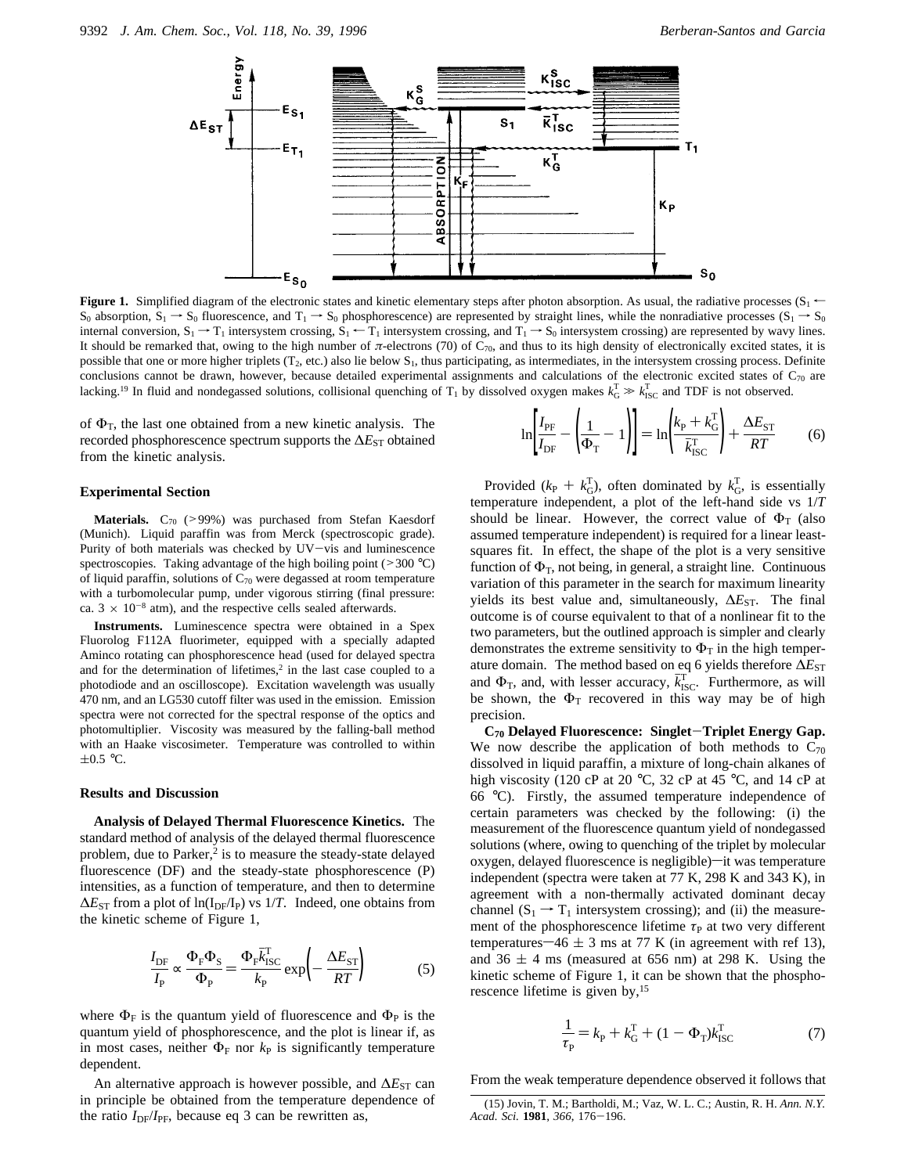

**Figure 1.** Simplified diagram of the electronic states and kinetic elementary steps after photon absorption. As usual, the radiative processes  $(S_1 \leftarrow S_1)$  $S_0$  absorption,  $S_1 \rightarrow S_0$  fluorescence, and  $T_1 \rightarrow S_0$  phosphorescence) are represented by straight lines, while the nonradiative processes ( $S_1 \rightarrow S_0$ internal conversion,  $S_1 \rightarrow T_1$  intersystem crossing,  $S_1 \leftarrow T_1$  intersystem crossing, and  $T_1 \rightarrow S_0$  intersystem crossing) are represented by wavy lines. It should be remarked that, owing to the high number of  $\pi$ -electrons (70) of C<sub>70</sub>, and thus to its high density of electronically excited states, it is possible that one or more higher triplets ( $T_2$ , etc.) also lie below  $S_1$ , thus participating, as intermediates, in the intersystem crossing process. Definite conclusions cannot be drawn, however, because detailed experimental assignments and calculations of the electronic excited states of  $C_{70}$  are lacking.<sup>19</sup> In fluid and nondegassed solutions, collisional quenching of T<sub>1</sub> by dissolved oxygen makes  $k_G^T \gg k_{\text{ISC}}^T$  and TDF is not observed.

of  $\Phi_T$ , the last one obtained from a new kinetic analysis. The recorded phosphorescence spectrum supports the Δ*E*<sub>ST</sub> obtained from the kinetic analysis.

#### **Experimental Section**

Materials. C<sub>70</sub> (>99%) was purchased from Stefan Kaesdorf (Munich). Liquid paraffin was from Merck (spectroscopic grade). Purity of both materials was checked by UV-vis and luminescence spectroscopies. Taking advantage of the high boiling point ( $>$ 300 °C) of liquid paraffin, solutions of  $C_{70}$  were degassed at room temperature with a turbomolecular pump, under vigorous stirring (final pressure: ca.  $3 \times 10^{-8}$  atm), and the respective cells sealed afterwards.

**Instruments.** Luminescence spectra were obtained in a Spex Fluorolog F112A fluorimeter, equipped with a specially adapted Aminco rotating can phosphorescence head (used for delayed spectra and for the determination of lifetimes, $2$  in the last case coupled to a photodiode and an oscilloscope). Excitation wavelength was usually 470 nm, and an LG530 cutoff filter was used in the emission. Emission spectra were not corrected for the spectral response of the optics and photomultiplier. Viscosity was measured by the falling-ball method with an Haake viscosimeter. Temperature was controlled to within  $\pm 0.5$  °C.

#### **Results and Discussion**

**Analysis of Delayed Thermal Fluorescence Kinetics.** The standard method of analysis of the delayed thermal fluorescence problem, due to Parker,<sup>2</sup> is to measure the steady-state delayed fluorescence (DF) and the steady-state phosphorescence (P) intensities, as a function of temperature, and then to determine  $ΔE<sub>ST</sub>$  from a plot of ln(I<sub>DF</sub>/I<sub>P</sub>) vs 1/*T*. Indeed, one obtains from the kinetic scheme of Figure 1,

$$
\frac{I_{\rm DF}}{I_{\rm P}} \propto \frac{\Phi_{\rm F} \Phi_{\rm S}}{\Phi_{\rm P}} = \frac{\Phi_{\rm F} \bar{k}_{\rm ISC}^{\rm T}}{k_{\rm P}} \exp\left(-\frac{\Delta E_{\rm ST}}{RT}\right) \tag{5}
$$

where  $\Phi_F$  is the quantum yield of fluorescence and  $\Phi_P$  is the quantum yield of phosphorescence, and the plot is linear if, as in most cases, neither  $\Phi_F$  nor  $k_P$  is significantly temperature dependent.

An alternative approach is however possible, and ∆*E*<sub>ST</sub> can in principle be obtained from the temperature dependence of the ratio *I*<sub>DF</sub>/*I*<sub>PF</sub>, because eq 3 can be rewritten as,

$$
\ln\left[\frac{I_{\rm PF}}{I_{\rm DF}} - \left(\frac{1}{\Phi_{\rm T}} - 1\right)\right] = \ln\left(\frac{k_{\rm P} + k_{\rm G}^{\rm T}}{\bar{k}_{\rm ISC}^{\rm T}}\right) + \frac{\Delta E_{\rm ST}}{RT} \tag{6}
$$

Provided ( $k_P + k_G^T$ ), often dominated by  $k_G^T$ , is essentially temperature independent, a plot of the left-hand side vs 1/*T* should be linear. However, the correct value of  $\Phi_T$  (also assumed temperature independent) is required for a linear leastsquares fit. In effect, the shape of the plot is a very sensitive function of  $\Phi_T$ , not being, in general, a straight line. Continuous variation of this parameter in the search for maximum linearity yields its best value and, simultaneously,  $\Delta E_{ST}$ . The final outcome is of course equivalent to that of a nonlinear fit to the two parameters, but the outlined approach is simpler and clearly demonstrates the extreme sensitivity to  $\Phi_T$  in the high temperature domain. The method based on eq 6 yields therefore ∆*E*<sub>ST</sub> and  $\Phi_{\text{T}}$ , and, with lesser accuracy,  $\bar{k}_{\text{ISC}}^{\text{T}}$ . Furthermore, as will be shown, the  $\Phi_T$  recovered in this way may be of high precision.

**C70 Delayed Fluorescence: Singlet**-**Triplet Energy Gap.** We now describe the application of both methods to  $C_{70}$ dissolved in liquid paraffin, a mixture of long-chain alkanes of high viscosity (120 cP at 20 °C, 32 cP at 45 °C, and 14 cP at 66 °C). Firstly, the assumed temperature independence of certain parameters was checked by the following: (i) the measurement of the fluorescence quantum yield of nondegassed solutions (where, owing to quenching of the triplet by molecular oxygen, delayed fluorescence is negligible)-it was temperature independent (spectra were taken at 77 K, 298 K and 343 K), in agreement with a non-thermally activated dominant decay channel  $(S_1 \rightarrow T_1$  intersystem crossing); and (ii) the measurement of the phosphorescence lifetime  $\tau_P$  at two very different temperatures  $-46 \pm 3$  ms at 77 K (in agreement with ref 13), and  $36 \pm 4$  ms (measured at 656 nm) at 298 K. Using the kinetic scheme of Figure 1, it can be shown that the phosphorescence lifetime is given by,15

$$
\frac{1}{\tau_{\rm p}} = k_{\rm p} + k_{\rm G}^{\rm T} + (1 - \Phi_{\rm T})k_{\rm ISC}^{\rm T}
$$
 (7)

From the weak temperature dependence observed it follows that

<sup>(15)</sup> Jovin, T. M.; Bartholdi, M.; Vaz, W. L. C.; Austin, R. H. *Ann. N.Y. Acad. Sci.* **1981**, *366*, 176-196.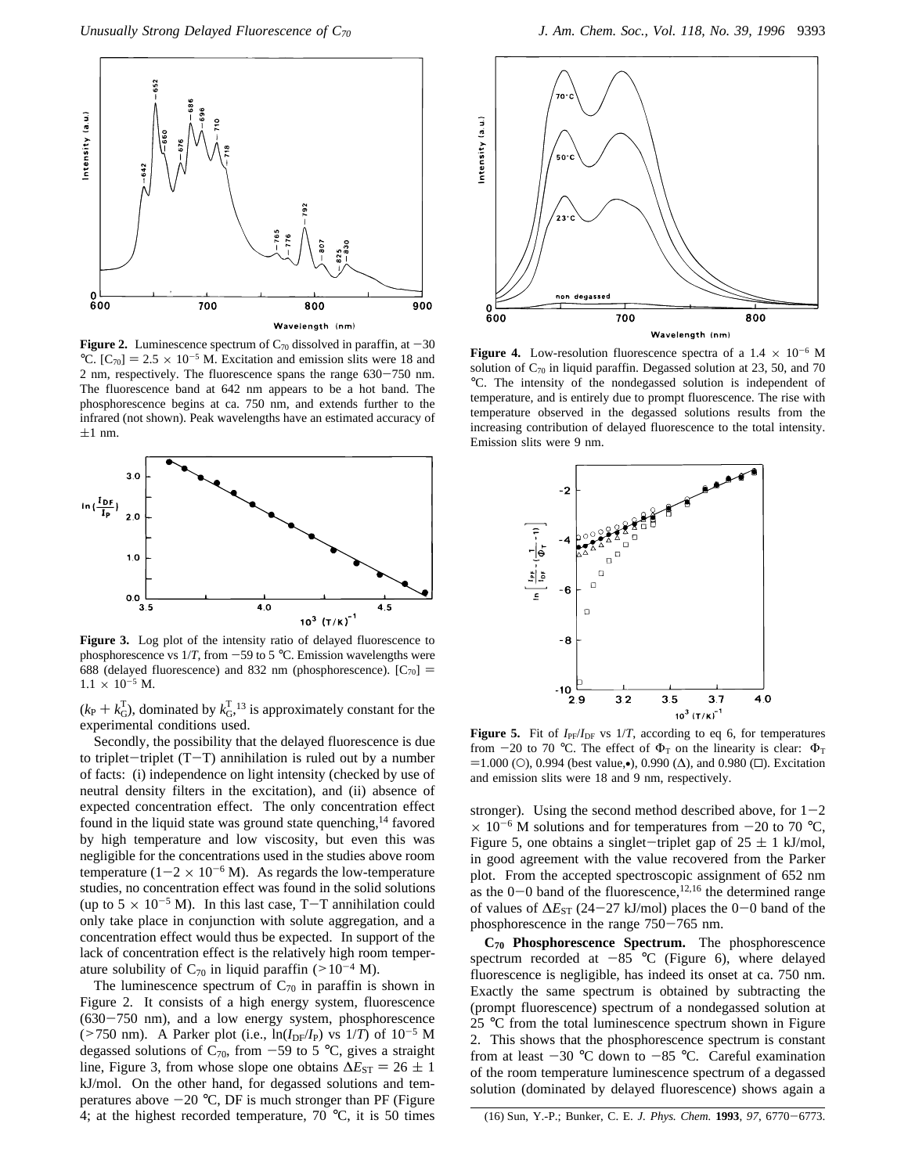

**Figure 2.** Luminescence spectrum of  $C_{70}$  dissolved in paraffin, at  $-30$ °C.  $[C_{70}] = 2.5 \times 10^{-5}$  M. Excitation and emission slits were 18 and 2 nm, respectively. The fluorescence spans the range 630-750 nm. The fluorescence band at 642 nm appears to be a hot band. The phosphorescence begins at ca. 750 nm, and extends further to the infrared (not shown). Peak wavelengths have an estimated accuracy of  $\pm 1$  nm.



**Figure 3.** Log plot of the intensity ratio of delayed fluorescence to phosphorescence vs  $1/T$ , from  $-59$  to 5 °C. Emission wavelengths were 688 (delayed fluorescence) and 832 nm (phosphorescence).  $[C_{70}]$  =  $1.1 \times 10^{-5}$  M.

 $(k_P + k_G^T)$ , dominated by  $k_G^T$ , <sup>13</sup> is approximately constant for the experimental conditions used.

Secondly, the possibility that the delayed fluorescence is due to triplet-triplet  $(T-T)$  annihilation is ruled out by a number of facts: (i) independence on light intensity (checked by use of neutral density filters in the excitation), and (ii) absence of expected concentration effect. The only concentration effect found in the liquid state was ground state quenching,<sup>14</sup> favored by high temperature and low viscosity, but even this was negligible for the concentrations used in the studies above room temperature ( $1-2 \times 10^{-6}$  M). As regards the low-temperature studies, no concentration effect was found in the solid solutions (up to  $5 \times 10^{-5}$  M). In this last case, T-T annihilation could only take place in conjunction with solute aggregation, and a concentration effect would thus be expected. In support of the lack of concentration effect is the relatively high room temperature solubility of  $C_{70}$  in liquid paraffin (>10<sup>-4</sup> M).

The luminescence spectrum of  $C_{70}$  in paraffin is shown in Figure 2. It consists of a high energy system, fluorescence (630-750 nm), and a low energy system, phosphorescence ( $>750$  nm). A Parker plot (i.e.,  $\ln(I_{DF}/I_{P})$  vs  $1/T$ ) of  $10^{-5}$  M degassed solutions of  $C_{70}$ , from -59 to 5 °C, gives a straight line, Figure 3, from whose slope one obtains  $\Delta E_{ST} = 26 \pm 1$ kJ/mol. On the other hand, for degassed solutions and temperatures above  $-20$  °C, DF is much stronger than PF (Figure 4; at the highest recorded temperature, 70 °C, it is 50 times



**Figure 4.** Low-resolution fluorescence spectra of a  $1.4 \times 10^{-6}$  M solution of  $C_{70}$  in liquid paraffin. Degassed solution at 23, 50, and 70 °C. The intensity of the nondegassed solution is independent of temperature, and is entirely due to prompt fluorescence. The rise with temperature observed in the degassed solutions results from the increasing contribution of delayed fluorescence to the total intensity. Emission slits were 9 nm.



**Figure 5.** Fit of  $I_{PF}/I_{DF}$  vs  $1/T$ , according to eq 6, for temperatures from -20 to 70 °C. The effect of  $\Phi_T$  on the linearity is clear:  $\Phi_T$  $=1.000$  (O), 0.994 (best value,•), 0.990 ( $\Delta$ ), and 0.980 ( $\Box$ ). Excitation and emission slits were 18 and 9 nm, respectively.

stronger). Using the second method described above, for  $1-2$  $\times$  10<sup>-6</sup> M solutions and for temperatures from -20 to 70 °C, Figure 5, one obtains a singlet-triplet gap of  $25 \pm 1$  kJ/mol, in good agreement with the value recovered from the Parker plot. From the accepted spectroscopic assignment of 652 nm as the  $0-0$  band of the fluorescence,<sup>12,16</sup> the determined range of values of ∆*E*ST (24-27 kJ/mol) places the 0-0 band of the phosphorescence in the range 750-765 nm.

**C70 Phosphorescence Spectrum.** The phosphorescence spectrum recorded at  $-85$  °C (Figure 6), where delayed fluorescence is negligible, has indeed its onset at ca. 750 nm. Exactly the same spectrum is obtained by subtracting the (prompt fluorescence) spectrum of a nondegassed solution at 25 °C from the total luminescence spectrum shown in Figure 2. This shows that the phosphorescence spectrum is constant from at least  $-30$  °C down to  $-85$  °C. Careful examination of the room temperature luminescence spectrum of a degassed solution (dominated by delayed fluorescence) shows again a